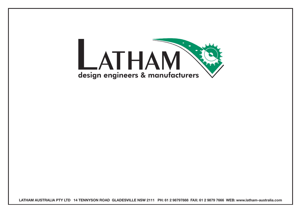

**LATHAM AUSTRALIA PTY LTD 14 TENNYSON ROAD GLADESVILLE NSW 2111 PH: 61 2 98797888 FAX: 61 2 9879 7666 WEB: www.latham-australia.com**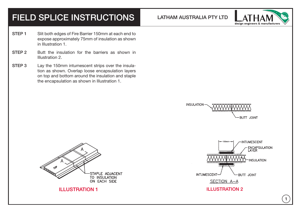## FIELD SPLICE INSTRUCTIONS LATHAM AUSTRALIA PTY LTD

**INSULATION** 



- STEP 1 Slit both edges of Fire Barrier 150mm at each end to expose approximately 75mm of insulation as shown in Illustration 1.
- STEP 2 Butt the insulation for the barriers as shown in Illustration 2.
- STEP 3 Lay the 150mm intumescent strips over the insulation as shown. Overlap loose encapsulation layers on top and bottom around the insulation and staple the encapsulation as shown in Illustration 1.





SECTION A-A

## **ILLUSTRATION 1** ILLUSTRATION 2